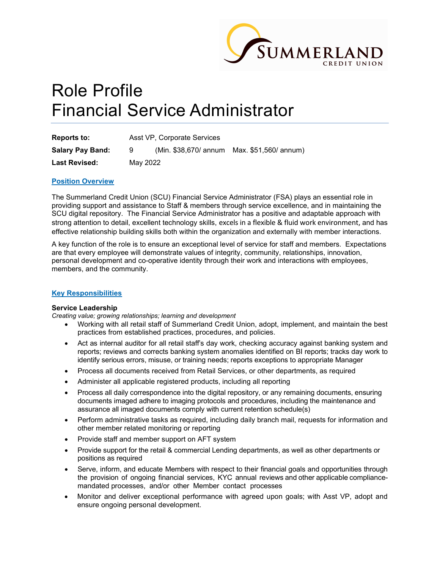

# Role Profile Financial Service Administrator

| <b>Reports to:</b>      | Asst VP, Corporate Services |  |                                             |
|-------------------------|-----------------------------|--|---------------------------------------------|
| <b>Salary Pay Band:</b> | - 9                         |  | (Min. \$38,670/ annum Max. \$51,560/ annum) |
| <b>Last Revised:</b>    | May 2022                    |  |                                             |

## Position Overview

The Summerland Credit Union (SCU) Financial Service Administrator (FSA) plays an essential role in providing support and assistance to Staff & members through service excellence, and in maintaining the SCU digital repository. The Financial Service Administrator has a positive and adaptable approach with strong attention to detail, excellent technology skills, excels in a flexible & fluid work environment, and has effective relationship building skills both within the organization and externally with member interactions.

A key function of the role is to ensure an exceptional level of service for staff and members. Expectations are that every employee will demonstrate values of integrity, community, relationships, innovation, personal development and co-operative identity through their work and interactions with employees, members, and the community.

#### Key Responsibilities

#### Service Leadership

Creating value; growing relationships; learning and development

- Working with all retail staff of Summerland Credit Union, adopt, implement, and maintain the best practices from established practices, procedures, and policies.
- Act as internal auditor for all retail staff's day work, checking accuracy against banking system and reports; reviews and corrects banking system anomalies identified on BI reports; tracks day work to identify serious errors, misuse, or training needs; reports exceptions to appropriate Manager
- Process all documents received from Retail Services, or other departments, as required
- Administer all applicable registered products, including all reporting
- Process all daily correspondence into the digital repository, or any remaining documents, ensuring documents imaged adhere to imaging protocols and procedures, including the maintenance and assurance all imaged documents comply with current retention schedule(s)
- Perform administrative tasks as required, including daily branch mail, requests for information and other member related monitoring or reporting
- Provide staff and member support on AFT system
- Provide support for the retail & commercial Lending departments, as well as other departments or positions as required
- Serve, inform, and educate Members with respect to their financial goals and opportunities through the provision of ongoing financial services, KYC annual reviews and other applicable compliancemandated processes, and/or other Member contact processes
- Monitor and deliver exceptional performance with agreed upon goals; with Asst VP, adopt and ensure ongoing personal development.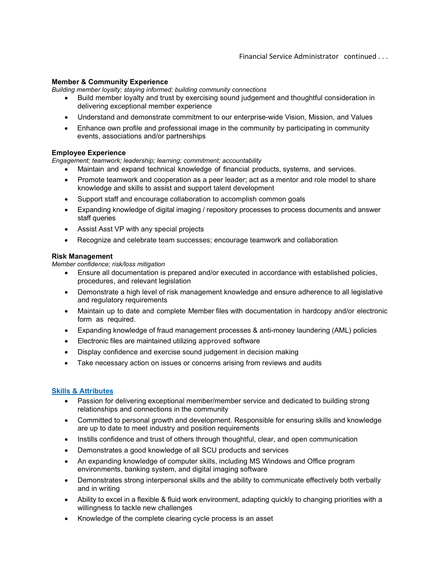## Member & Community Experience

Building member loyalty; staying informed; building community connections

- Build member loyalty and trust by exercising sound judgement and thoughtful consideration in delivering exceptional member experience
- Understand and demonstrate commitment to our enterprise-wide Vision, Mission, and Values
- Enhance own profile and professional image in the community by participating in community events, associations and/or partnerships

## Employee Experience

Engagement; teamwork; leadership; learning; commitment; accountability

- Maintain and expand technical knowledge of financial products, systems, and services.
- Promote teamwork and cooperation as a peer leader; act as a mentor and role model to share knowledge and skills to assist and support talent development
- Support staff and encourage collaboration to accomplish common goals
- Expanding knowledge of digital imaging / repository processes to process documents and answer staff queries
- Assist Asst VP with any special projects
- Recognize and celebrate team successes; encourage teamwork and collaboration

#### Risk Management

Member confidence; risk/loss mitigation

- Ensure all documentation is prepared and/or executed in accordance with established policies, procedures, and relevant legislation
- Demonstrate a high level of risk management knowledge and ensure adherence to all legislative and regulatory requirements
- Maintain up to date and complete Member files with documentation in hardcopy and/or electronic form as required.
- Expanding knowledge of fraud management processes & anti-money laundering (AML) policies
- Electronic files are maintained utilizing approved software
- Display confidence and exercise sound judgement in decision making
- Take necessary action on issues or concerns arising from reviews and audits

#### Skills & Attributes

- Passion for delivering exceptional member/member service and dedicated to building strong relationships and connections in the community
- Committed to personal growth and development. Responsible for ensuring skills and knowledge are up to date to meet industry and position requirements
- Instills confidence and trust of others through thoughtful, clear, and open communication
- Demonstrates a good knowledge of all SCU products and services
- An expanding knowledge of computer skills, including MS Windows and Office program environments, banking system, and digital imaging software
- Demonstrates strong interpersonal skills and the ability to communicate effectively both verbally and in writing
- Ability to excel in a flexible & fluid work environment, adapting quickly to changing priorities with a willingness to tackle new challenges
- Knowledge of the complete clearing cycle process is an asset